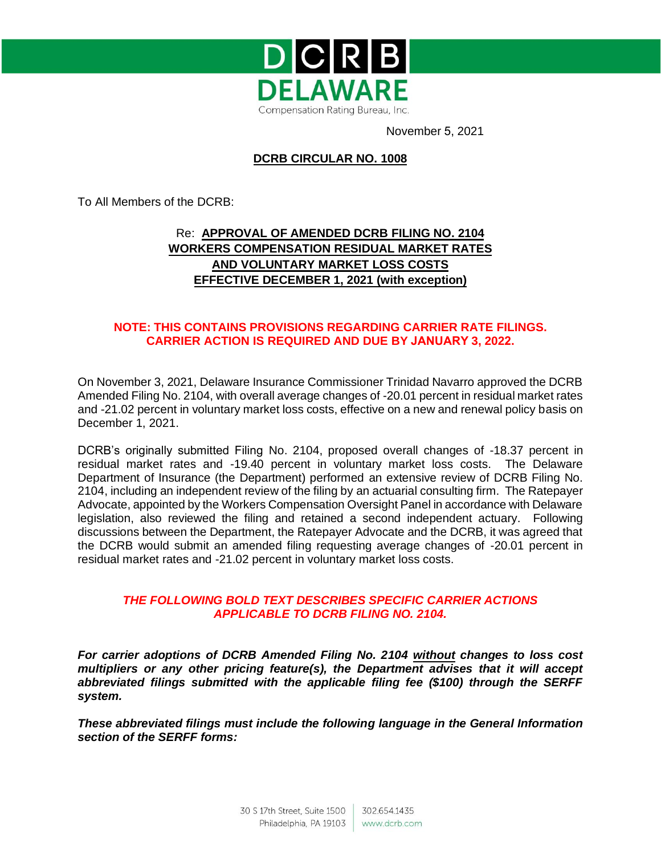

November 5, 2021

## **DCRB CIRCULAR NO. 1008**

To All Members of the DCRB:

# Re: **APPROVAL OF AMENDED DCRB FILING NO. 2104 WORKERS COMPENSATION RESIDUAL MARKET RATES AND VOLUNTARY MARKET LOSS COSTS EFFECTIVE DECEMBER 1, 2021 (with exception)**

## **NOTE: THIS CONTAINS PROVISIONS REGARDING CARRIER RATE FILINGS. CARRIER ACTION IS REQUIRED AND DUE BY JANUARY 3, 2022.**

On November 3, 2021, Delaware Insurance Commissioner Trinidad Navarro approved the DCRB Amended Filing No. 2104, with overall average changes of -20.01 percent in residual market rates and -21.02 percent in voluntary market loss costs, effective on a new and renewal policy basis on December 1, 2021.

DCRB's originally submitted Filing No. 2104, proposed overall changes of -18.37 percent in residual market rates and -19.40 percent in voluntary market loss costs. The Delaware Department of Insurance (the Department) performed an extensive review of DCRB Filing No. 2104, including an independent review of the filing by an actuarial consulting firm. The Ratepayer Advocate, appointed by the Workers Compensation Oversight Panel in accordance with Delaware legislation, also reviewed the filing and retained a second independent actuary. Following discussions between the Department, the Ratepayer Advocate and the DCRB, it was agreed that the DCRB would submit an amended filing requesting average changes of -20.01 percent in residual market rates and -21.02 percent in voluntary market loss costs.

### *THE FOLLOWING BOLD TEXT DESCRIBES SPECIFIC CARRIER ACTIONS APPLICABLE TO DCRB FILING NO. 2104.*

*For carrier adoptions of DCRB Amended Filing No. 2104 without changes to loss cost multipliers or any other pricing feature(s), the Department advises that it will accept abbreviated filings submitted with the applicable filing fee (\$100) through the SERFF system.* 

*These abbreviated filings must include the following language in the General Information section of the SERFF forms:*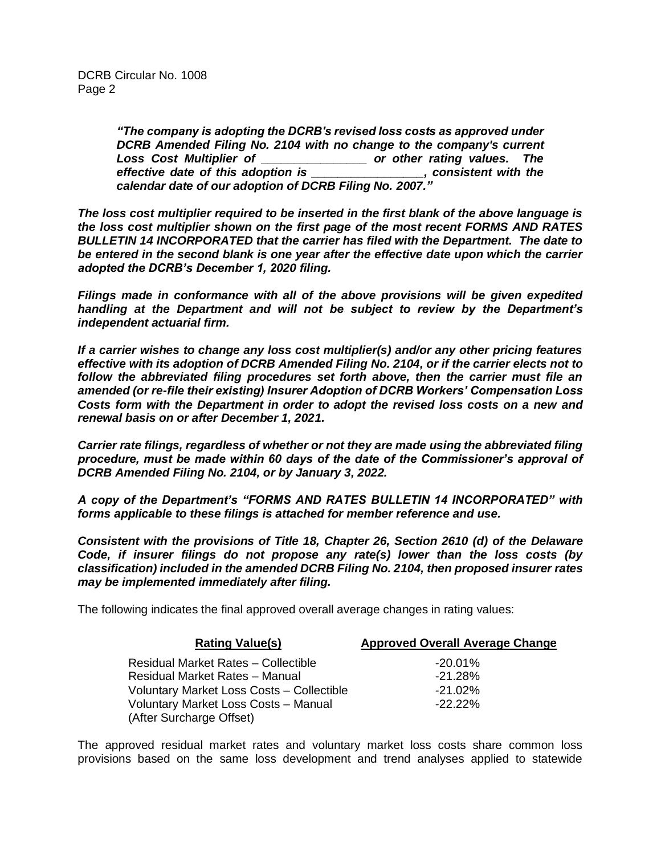*"The company is adopting the DCRB's revised loss costs as approved under DCRB Amended Filing No. 2104 with no change to the company's current Loss Cost Multiplier of \_\_\_\_\_\_\_\_\_\_\_\_\_\_\_\_ or other rating values. The effective date of this adoption is \_\_\_\_\_\_\_\_\_\_\_\_\_\_\_\_\_, consistent with the calendar date of our adoption of DCRB Filing No. 2007."* 

*The loss cost multiplier required to be inserted in the first blank of the above language is the loss cost multiplier shown on the first page of the most recent FORMS AND RATES BULLETIN 14 INCORPORATED that the carrier has filed with the Department. The date to be entered in the second blank is one year after the effective date upon which the carrier adopted the DCRB's December 1, 2020 filing.*

*Filings made in conformance with all of the above provisions will be given expedited handling at the Department and will not be subject to review by the Department's independent actuarial firm.*

*If a carrier wishes to change any loss cost multiplier(s) and/or any other pricing features effective with its adoption of DCRB Amended Filing No. 2104, or if the carrier elects not to follow the abbreviated filing procedures set forth above, then the carrier must file an amended (or re-file their existing) Insurer Adoption of DCRB Workers' Compensation Loss Costs form with the Department in order to adopt the revised loss costs on a new and renewal basis on or after December 1, 2021.*

*Carrier rate filings, regardless of whether or not they are made using the abbreviated filing procedure, must be made within 60 days of the date of the Commissioner's approval of DCRB Amended Filing No. 2104, or by January 3, 2022.* 

*A copy of the Department's "FORMS AND RATES BULLETIN 14 INCORPORATED" with forms applicable to these filings is attached for member reference and use.*

*Consistent with the provisions of Title 18, Chapter 26, Section 2610 (d) of the Delaware Code, if insurer filings do not propose any rate(s) lower than the loss costs (by classification) included in the amended DCRB Filing No. 2104, then proposed insurer rates may be implemented immediately after filing.*

The following indicates the final approved overall average changes in rating values:

| <b>Rating Value(s)</b>                     | <b>Approved Overall Average Change</b> |  |  |
|--------------------------------------------|----------------------------------------|--|--|
| <b>Residual Market Rates - Collectible</b> | $-20.01\%$                             |  |  |
| Residual Market Rates - Manual             | $-21.28\%$                             |  |  |
| Voluntary Market Loss Costs - Collectible  | $-21.02\%$                             |  |  |
| Voluntary Market Loss Costs - Manual       | $-22.22\%$                             |  |  |
| (After Surcharge Offset)                   |                                        |  |  |

The approved residual market rates and voluntary market loss costs share common loss provisions based on the same loss development and trend analyses applied to statewide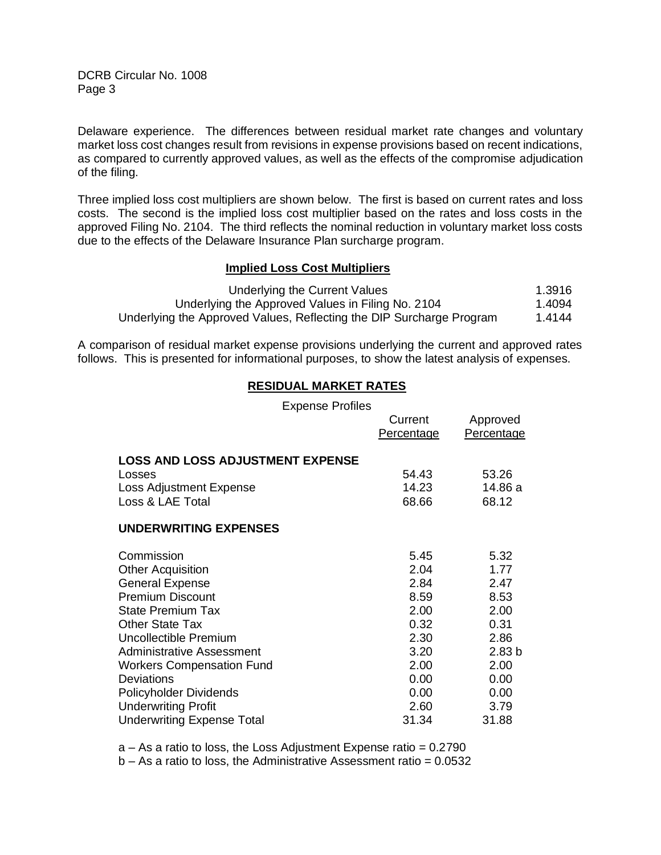DCRB Circular No. 1008 Page 3

Delaware experience. The differences between residual market rate changes and voluntary market loss cost changes result from revisions in expense provisions based on recent indications, as compared to currently approved values, as well as the effects of the compromise adjudication of the filing.

Three implied loss cost multipliers are shown below. The first is based on current rates and loss costs. The second is the implied loss cost multiplier based on the rates and loss costs in the approved Filing No. 2104. The third reflects the nominal reduction in voluntary market loss costs due to the effects of the Delaware Insurance Plan surcharge program.

### **Implied Loss Cost Multipliers**

| Underlying the Current Values                                        | 1.3916 |
|----------------------------------------------------------------------|--------|
| Underlying the Approved Values in Filing No. 2104                    | 1.4094 |
| Underlying the Approved Values, Reflecting the DIP Surcharge Program | 1.4144 |

A comparison of residual market expense provisions underlying the current and approved rates follows. This is presented for informational purposes, to show the latest analysis of expenses.

## **RESIDUAL MARKET RATES**

| <b>Expense Profiles</b>                 |            |                   |
|-----------------------------------------|------------|-------------------|
|                                         | Current    | Approved          |
|                                         | Percentage | Percentage        |
|                                         |            |                   |
| <b>LOSS AND LOSS ADJUSTMENT EXPENSE</b> |            |                   |
| Losses                                  | 54.43      | 53.26             |
| Loss Adjustment Expense                 | 14.23      | 14.86 a           |
| Loss & LAE Total                        | 68.66      | 68.12             |
| <b>UNDERWRITING EXPENSES</b>            |            |                   |
| Commission                              | 5.45       | 5.32              |
| <b>Other Acquisition</b>                | 2.04       | 1.77              |
| <b>General Expense</b>                  | 2.84       | 2.47              |
| <b>Premium Discount</b>                 | 8.59       | 8.53              |
| <b>State Premium Tax</b>                | 2.00       | 2.00              |
| <b>Other State Tax</b>                  | 0.32       | 0.31              |
| Uncollectible Premium                   | 2.30       | 2.86              |
| Administrative Assessment               | 3.20       | 2.83 <sub>b</sub> |
| <b>Workers Compensation Fund</b>        | 2.00       | 2.00              |
| <b>Deviations</b>                       | 0.00       | 0.00              |
| Policyholder Dividends                  | 0.00       | 0.00              |
| <b>Underwriting Profit</b>              | 2.60       | 3.79              |
| <b>Underwriting Expense Total</b>       | 31.34      | 31.88             |

 $a - As a ratio to loss, the Loss Adjustment Expression ratio =  $0.2790$$ 

 $b - As a$  ratio to loss, the Administrative Assessment ratio =  $0.0532$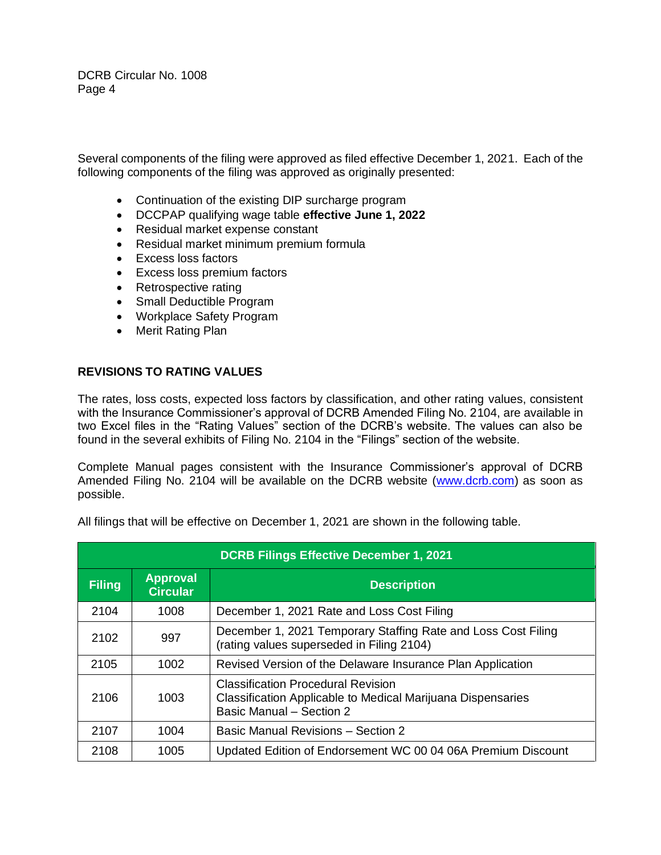DCRB Circular No. 1008 Page 4

Several components of the filing were approved as filed effective December 1, 2021. Each of the following components of the filing was approved as originally presented:

- Continuation of the existing DIP surcharge program
- DCCPAP qualifying wage table **effective June 1, 2022**
- Residual market expense constant
- Residual market minimum premium formula
- Excess loss factors
- Excess loss premium factors
- Retrospective rating
- Small Deductible Program
- Workplace Safety Program
- Merit Rating Plan

### **REVISIONS TO RATING VALUES**

The rates, loss costs, expected loss factors by classification, and other rating values, consistent with the Insurance Commissioner's approval of DCRB Amended Filing No. 2104, are available in two Excel files in the "Rating Values" section of the DCRB's website. The values can also be found in the several exhibits of Filing No. 2104 in the "Filings" section of the website.

Complete Manual pages consistent with the Insurance Commissioner's approval of DCRB Amended Filing No. 2104 will be available on the DCRB website [\(www.dcrb.com\)](http://www.dcrb.com/) as soon as possible.

| <b>DCRB Filings Effective December 1, 2021</b>                            |      |                                                                                                                                      |  |
|---------------------------------------------------------------------------|------|--------------------------------------------------------------------------------------------------------------------------------------|--|
| <b>Approval</b><br><b>Filing</b><br><b>Description</b><br><b>Circular</b> |      |                                                                                                                                      |  |
| 2104                                                                      | 1008 | December 1, 2021 Rate and Loss Cost Filing                                                                                           |  |
| 2102                                                                      | 997  | December 1, 2021 Temporary Staffing Rate and Loss Cost Filing<br>(rating values superseded in Filing 2104)                           |  |
| 2105                                                                      | 1002 | Revised Version of the Delaware Insurance Plan Application                                                                           |  |
| 2106                                                                      | 1003 | <b>Classification Procedural Revision</b><br>Classification Applicable to Medical Marijuana Dispensaries<br>Basic Manual - Section 2 |  |
| 2107                                                                      | 1004 | Basic Manual Revisions - Section 2                                                                                                   |  |
| 2108                                                                      | 1005 | Updated Edition of Endorsement WC 00 04 06A Premium Discount                                                                         |  |

All filings that will be effective on December 1, 2021 are shown in the following table.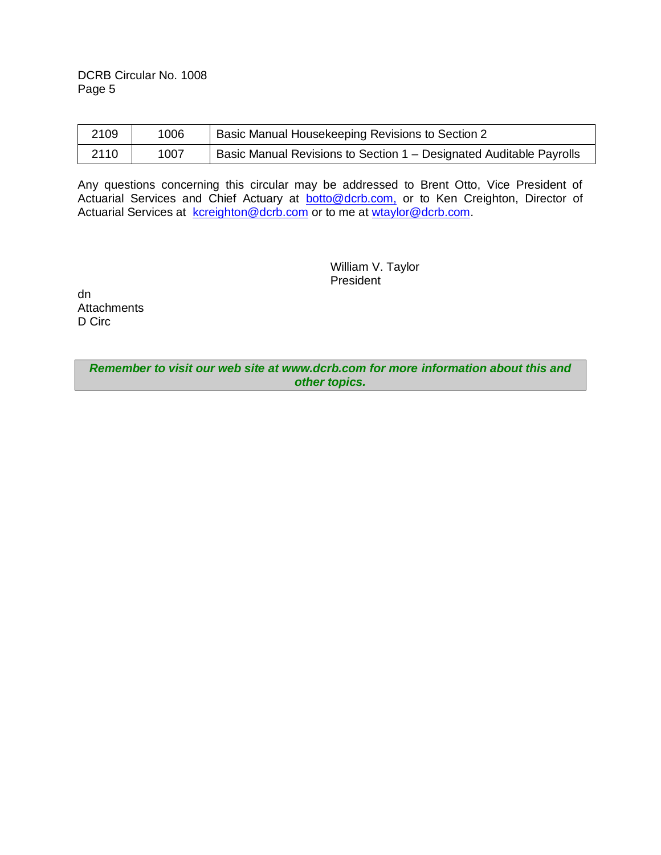DCRB Circular No. 1008 Page 5

| 2109 | 1006 | Basic Manual Housekeeping Revisions to Section 2                    |  |
|------|------|---------------------------------------------------------------------|--|
| 2110 | 1007 | Basic Manual Revisions to Section 1 – Designated Auditable Payrolls |  |

Any questions concerning this circular may be addressed to Brent Otto, Vice President of Actuarial Services and Chief Actuary at **botto@dcrb.com**, or to Ken Creighton, Director of Actuarial Services at <u>[kcreighton@dcrb.com](mailto:kcreighton@dcrb.com)</u> or to me at [wtaylor@dcrb.com.](mailto:wtaylor@dcrb.com)

> William V. Taylor President

dn **Attachments** D Circ

> *Remember to visit our web site at www.dcrb.com for more information about this and other topics.*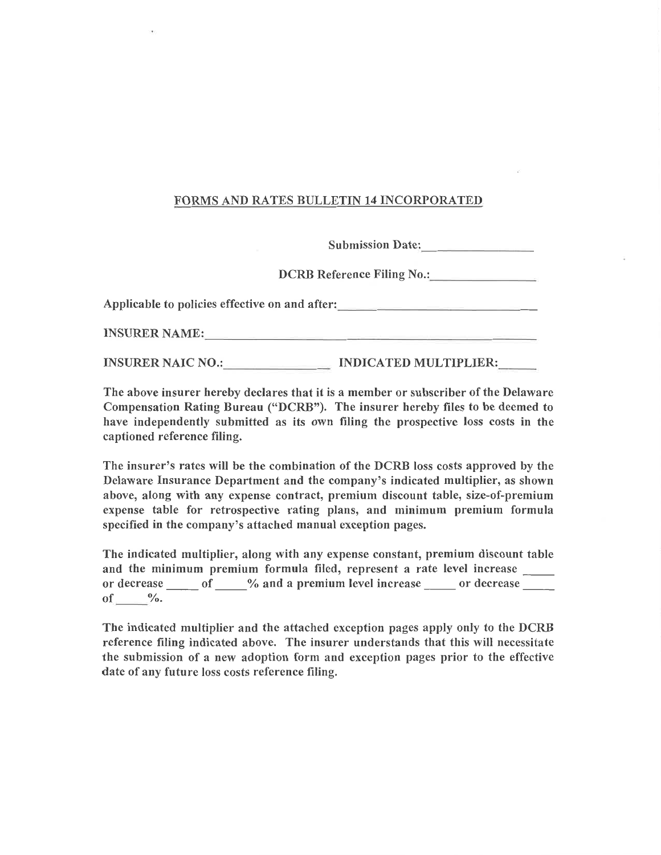## **FORMS AND RATES BULLETIN 14 INCORPORATED**

Submission Date:

DCRB Reference Filing No.:

Applicable to policies effective on and after:

INSURER NAME: NEWSLETCHER CONTROL CONTROL CONTROL CONTROL CONTROL CONTROL CONTROL CONTROL CONTROL CONTROL CONTROL CONTROL CONTROL CONTROL CONTROL CONTROL CONTROL CONTROL CONTROL CONTROL CONTROL CONTROL CONTROL CONTROL CONT

INSURER NAIC NO.: INDICATED MULTIPLIER:

The above insurer hereby declares that it is a member or subscriber of the Delaware Compensation Rating Bureau ("DCRB"). The insurer hereby files to be deemed to have independently submitted as its own filing the prospective loss costs in the captioned reference filing.

The insurer's rates will be the combination of the DCRB loss costs approved by the Delaware Insurance Department and the company's indicated multiplier, as shown above, along with any expense contract, premium discount table, size-of-premium expense table for retrospective rating plans, and minimum premium formula specified in the company's attached manual exception pages.

The indicated multiplier, along with any expense constant, premium discount table and the minimum premium formula filed, represent a rate level increase or decrease \_\_\_\_\_\_ of \_\_\_\_\_% and a premium level increase \_\_\_\_\_\_ or decrease \_\_\_\_\_ of  $\frac{0}{0}$ .

The indicated multiplier and the attached exception pages apply only to the DCRB reference filing indicated above. The insurer understands that this will necessitate the submission of a new adoption form and exception pages prior to the effective date of any future loss costs reference filing.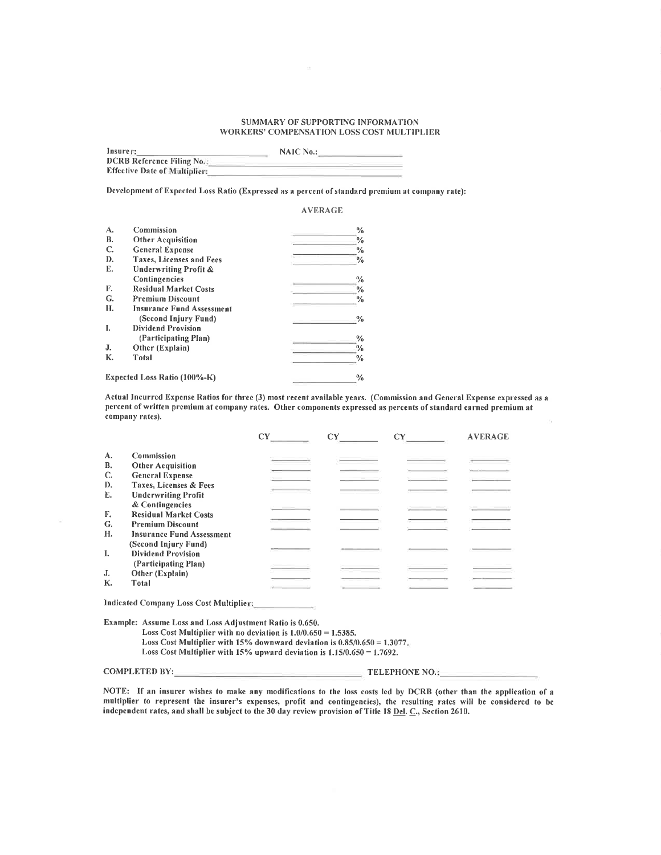#### SUMMARY OF SUPPORTING INFORMATION WORKERS' COMPENSATION LOSS COST MULTIPLIER

| Insurer:                             | NAIC No.: |  |
|--------------------------------------|-----------|--|
| <b>DCRB Reference Filing No.:</b>    |           |  |
| <b>Effective Date of Multiplier:</b> |           |  |

Development of Expected Loss Ratio (Expressed as a percent of standard premium at company rate):

#### **AVERAGE**

| A. | Commission                       | $\frac{0}{0}$ |
|----|----------------------------------|---------------|
| В. | <b>Other Acquisition</b>         | $\frac{0}{0}$ |
| C. | <b>General Expense</b>           | $\frac{0}{0}$ |
| D. | <b>Taxes, Licenses and Fees</b>  | %             |
| Е. | <b>Underwriting Profit &amp;</b> |               |
|    | Contingencies                    | %             |
| F. | <b>Residual Market Costs</b>     | %             |
| G. | <b>Premium Discount</b>          | $\frac{0}{0}$ |
| Н. | <b>Insurance Fund Assessment</b> |               |
|    | (Second Injury Fund)             | $\frac{0}{0}$ |
| I. | <b>Dividend Provision</b>        |               |
|    | (Participating Plan)             | ℅             |
| J. | Other (Explain)                  | %             |
| К. | Total                            | ℅             |
|    | Expected Loss Ratio (100%-K)     | %             |

Actual Incurred Expense Ratios for three (3) most recent available years. (Commission and General Expense expressed as a percent of written premium at company rates. Other components expressed as percents of standard earned premium at company rates).  $\alpha$ 

|    |                                  | CY | <b>AVERAGE</b> |
|----|----------------------------------|----|----------------|
| А. | Commission                       |    |                |
| В. | <b>Other Acquisition</b>         |    |                |
| C. | <b>General Expense</b>           |    |                |
| D. | Taxes, Licenses & Fees           |    |                |
| E. | <b>Underwriting Profit</b>       |    |                |
|    | & Contingencies                  |    |                |
| F. | <b>Residual Market Costs</b>     |    |                |
| G. | <b>Premium Discount</b>          |    |                |
| Н. | <b>Insurance Fund Assessment</b> |    |                |
|    | (Second Injury Fund)             |    |                |
| L  | <b>Dividend Provision</b>        |    |                |
|    | (Participating Plan)             |    |                |
| J. | Other (Explain)                  |    |                |
| К. | Total                            |    |                |
|    |                                  |    |                |

Indicated Company Loss Cost Multiplier:

Example: Assume Loss and Loss Adjustment Ratio is 0.650.

Loss Cost Multiplier with no deviation is  $1.0/0.650 = 1.5385$ .

- Loss Cost Multiplier with 15% downward deviation is  $0.85/0.650 = 1.3077$ .
- Loss Cost Multiplier with  $15\%$  upward deviation is  $1.15/0.650 = 1.7692$ .

COMPLETED BY:

 $\equiv$  TELEPHONE NO.:

NOTE: If an insurer wishes to make any modifications to the loss costs led by DCRB (other than the application of a multiplier to represent the insurer's expenses, profit and contingencies), the resulting rates will be considered to be independent rates, and shall be subject to the 30 day review provision of Title 18 Del. C., Section 2610.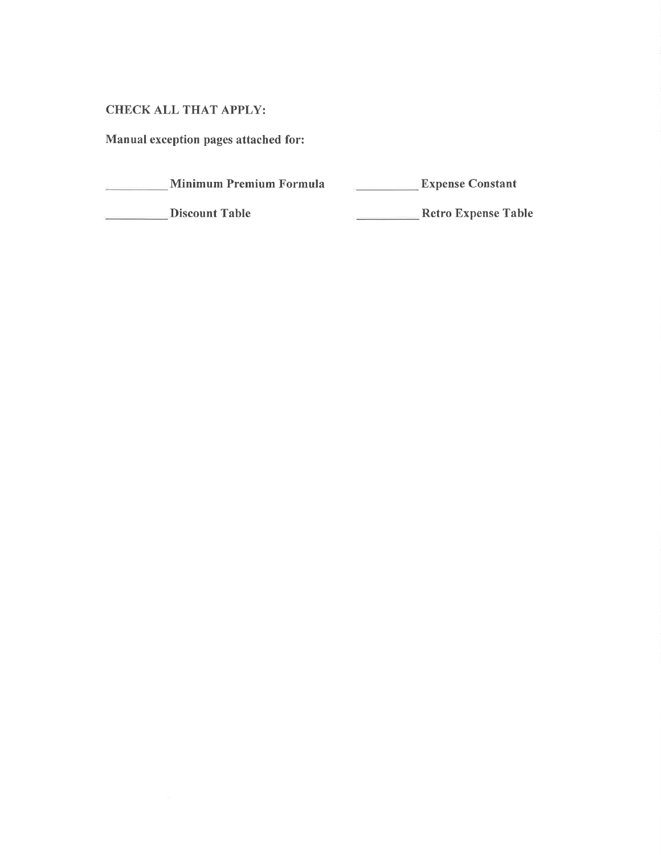# **CHECK ALL THAT APPLY:**

Manual exception pages attached for:

Minimum Premium Formula  $\sim$  10  $\mu$ 

Expense Constant

Discount Table

Retro Expense Table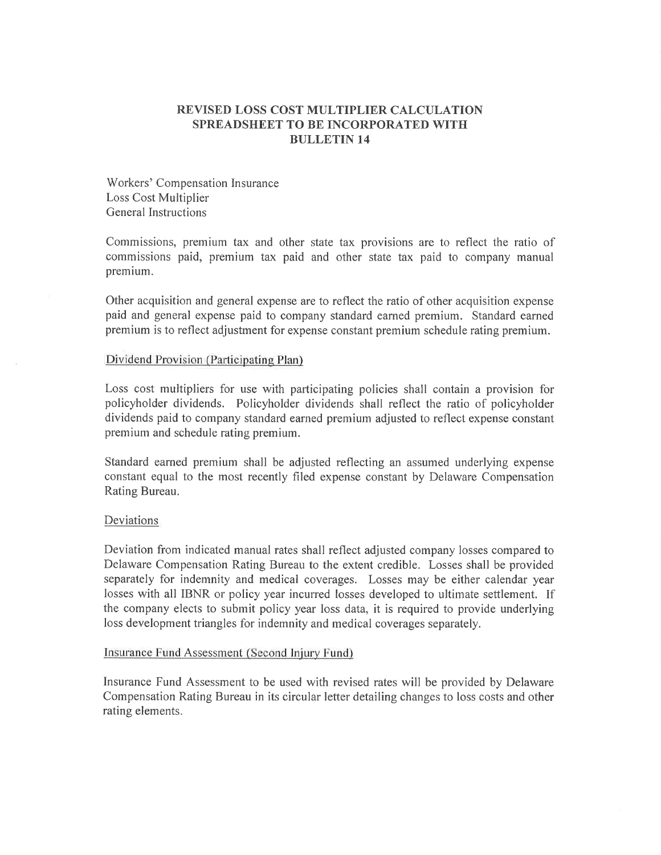## REVISED LOSS COST MULTIPLIER CALCULATION SPREADSHEET TO BE INCORPORATED WITH **BULLETIN 14**

Workers' Compensation Insurance Loss Cost Multiplier General Instructions

Commissions, premium tax and other state tax provisions are to reflect the ratio of commissions paid, premium tax paid and other state tax paid to company manual premium.

Other acquisition and general expense are to reflect the ratio of other acquisition expense paid and general expense paid to company standard earned premium. Standard earned premium is to reflect adjustment for expense constant premium schedule rating premium.

### Dividend Provision (Participating Plan)

Loss cost multipliers for use with participating policies shall contain a provision for policyholder dividends. Policyholder dividends shall reflect the ratio of policyholder dividends paid to company standard earned premium adjusted to reflect expense constant premium and schedule rating premium.

Standard earned premium shall be adjusted reflecting an assumed underlying expense constant equal to the most recently filed expense constant by Delaware Compensation Rating Bureau.

### Deviations

Deviation from indicated manual rates shall reflect adjusted company losses compared to Delaware Compensation Rating Bureau to the extent credible. Losses shall be provided separately for indemnity and medical coverages. Losses may be either calendar year losses with all IBNR or policy year incurred losses developed to ultimate settlement. If the company elects to submit policy year loss data, it is required to provide underlying loss development triangles for indemnity and medical coverages separately.

### Insurance Fund Assessment (Second Injury Fund)

Insurance Fund Assessment to be used with revised rates will be provided by Delaware Compensation Rating Bureau in its circular letter detailing changes to loss costs and other rating elements.